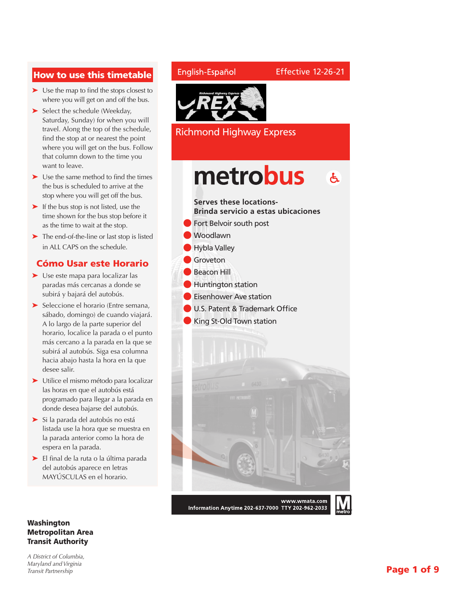## How to use this timetable

- ➤ Use the map to find the stops closest to where you will get on and off the bus.
- ➤ Select the schedule (Weekday, Saturday, Sunday) for when you will travel. Along the top of the schedule, find the stop at or nearest the point where you will get on the bus. Follow that column down to the time you want to leave.
- ➤ Use the same method to find the times the bus is scheduled to arrive at the stop where you will get off the bus.
- ➤ If the bus stop is not listed, use the time shown for the bus stop before it as the time to wait at the stop.
- ➤ The end-of-the-line or last stop is listed in ALL CAPS on the schedule.

### Cómo Usar este Horario

- ➤ Use este mapa para localizar las paradas más cercanas a donde se subirá y bajará del autobús.
- ➤ Seleccione el horario (Entre semana, sábado, domingo) de cuando viajará. A lo largo de la parte superior del horario, localice la parada o el punto más cercano a la parada en la que se subirá al autobús. Siga esa columna hacia abajo hasta la hora en la que desee salir.
- ➤ Utilice el mismo método para localizar las horas en que el autobús está programado para llegar a la parada en donde desea bajarse del autobús.
- ➤ Si la parada del autobús no está listada use la hora que se muestra en la parada anterior como la hora de espera en la parada.
- ➤ El final de la ruta o la última parada del autobús aparece en letras MAYÚSCULAS en el horario.

#### Washington Metropolitan Area Transit Authority

*A District of Columbia, Maryland and Virginia Transit Partnership*

#### English-Español



Richmond Highway Express

## metrobus  $\mathbf{A}$

Effective 12-26-21

**Serves these locations-Brinda servicio a estas ubicaciones** l Fort Belvoir south post

- l Woodlawn
	- l Hybla Valley
- l Groveton
	- l Beacon Hill
- l Huntington station
- **Eisenhower Ave station**
- **IDU.S. Patent & Trademark Office**
- King St-Old Town station



Information Anytime 202-637-7000 TTY 202-962-2033

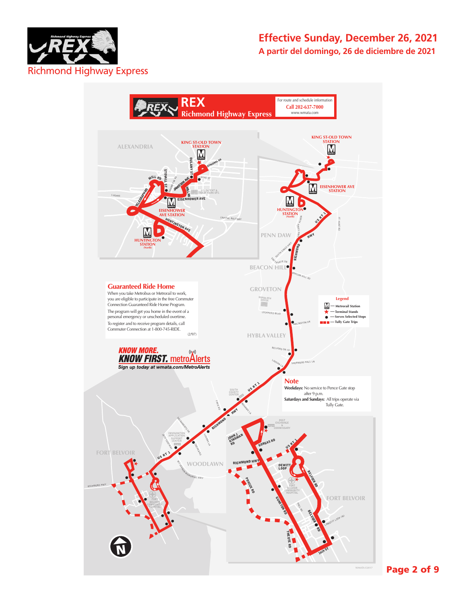

## **Effective Sunday, December 26, 2021 A partir del domingo, 26 de diciembre de 2021**



Page 2 of 9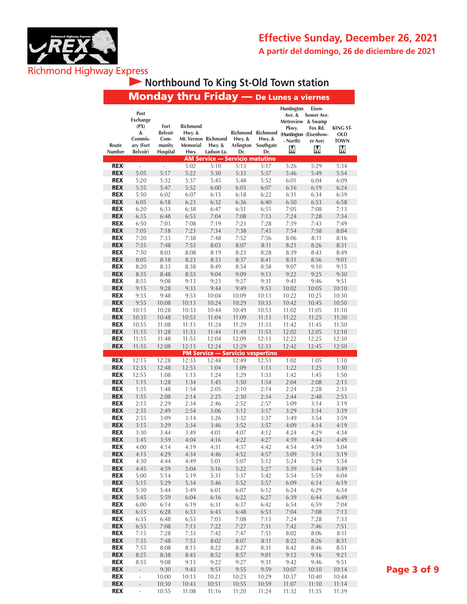



### $M$ onday thru Friday —  **Northbound To King St-Old Town station**

|                 | monuay                                                                          |                                                      | unu mud                                                       |                                                               |               |                                                           | Lunes a viernes                                                     |                                                                           |                                                   |
|-----------------|---------------------------------------------------------------------------------|------------------------------------------------------|---------------------------------------------------------------|---------------------------------------------------------------|---------------|-----------------------------------------------------------|---------------------------------------------------------------------|---------------------------------------------------------------------------|---------------------------------------------------|
| Route<br>Number | Post<br><b>Exchange</b><br>(PX)<br>&<br>Commis-<br>ary (Fort<br><b>Belvoir)</b> | Fort<br><b>Belvoir</b><br>Com-<br>munity<br>Hospital | Richmond<br>Hwy. &<br>Mt. Vernon Richmond<br>Memorial<br>Hwy. | Hwy. &<br>Ladson La.<br><b>AM Service — Servicio matutino</b> | Hwy. &<br>Dr. | Richmond Richmond<br>Hwy. &<br>Arlington Southgate<br>Dr. | Huntington<br>Ave. &<br>Metroview & Swamp<br>Pkwy.<br>- North)<br>М | Eisen-<br>hower Ave.<br>Fox Rd.<br>(Huntington (Eisenhow-<br>er Ave)<br>M | <b>KING ST-</b><br><b>OLD</b><br><b>TOWN</b><br>M |
| <b>REX/</b>     | L,                                                                              | $\overline{a}$                                       | 5:02                                                          | 5:10                                                          | 5:13          | 5:17                                                      | 5:26                                                                | 5:29                                                                      | 5:34                                              |
| <b>REX</b>      | 5:05                                                                            | 5:17                                                 | 5:22                                                          |                                                               | 5:33          | 5:37                                                      | 5:46                                                                |                                                                           | 5:54                                              |
|                 |                                                                                 |                                                      |                                                               | 5:30                                                          |               |                                                           |                                                                     | 5:49                                                                      |                                                   |
| <b>REX</b>      | 5:20                                                                            | 5:32                                                 | 5:37                                                          | 5:45                                                          | 5:48          | 5:52                                                      | 6:01                                                                | 6:04                                                                      | 6:09                                              |
| <b>REX</b>      | 5:35                                                                            | 5:47                                                 | 5:52                                                          | 6:00                                                          | 6:03          | 6:07                                                      | 6:16                                                                | 6:19                                                                      | 6:24                                              |
| <b>REX</b>      | 5:50                                                                            | 6:02                                                 | 6:07                                                          | 6:15                                                          | 6:18          | 6:22                                                      | 6:31                                                                | 6:34                                                                      | 6:39                                              |
| <b>REX</b>      | 6:05                                                                            | 6:18                                                 | 6:23                                                          | 6:32                                                          | 6:36          | 6:40                                                      | 6:50                                                                | 6:53                                                                      | 6:58                                              |
| <b>REX</b>      | 6:20                                                                            | 6:33                                                 | 6:38                                                          | 6:47                                                          | 6:51          | 6:55                                                      | 7:05                                                                | 7:08                                                                      | 7:13                                              |
| <b>REX</b>      | 6:35                                                                            | 6:48                                                 | 6:53                                                          | 7:04                                                          | 7:08          | 7:13                                                      | 7:24                                                                | 7:28                                                                      | 7:34                                              |
| <b>REX</b>      | 6:50                                                                            | 7:03                                                 | 7:08                                                          | 7:19                                                          | 7:23          | 7:28                                                      | 7:39                                                                | 7:43                                                                      | 7:49                                              |
| <b>REX</b>      |                                                                                 |                                                      | 7:23                                                          |                                                               |               |                                                           |                                                                     |                                                                           |                                                   |
|                 | 7:05                                                                            | 7:18                                                 |                                                               | 7:34                                                          | 7:38          | 7:43                                                      | 7:54                                                                | 7:58                                                                      | 8:04                                              |
| <b>REX</b>      | 7:20                                                                            | 7:33                                                 | 7:38                                                          | 7:48                                                          | 7:52          | 7:56                                                      | 8:06                                                                | 8:11                                                                      | 8:16                                              |
| <b>REX</b>      | 7:35                                                                            | 7:48                                                 | 7:53                                                          | 8:03                                                          | 8:07          | 8:11                                                      | 8:21                                                                | 8:26                                                                      | 8:31                                              |
| <b>REX</b>      | 7:50                                                                            | 8:03                                                 | 8:08                                                          | 8:19                                                          | 8:23          | 8:28                                                      | 8:39                                                                | 8:43                                                                      | 8:49                                              |
| <b>REX</b>      | 8:05                                                                            | 8:18                                                 | 8:23                                                          | 8:33                                                          | 8:37          | 8:41                                                      | 8:51                                                                | 8:56                                                                      | 9:01                                              |
| <b>REX</b>      | 8:20                                                                            | 8:33                                                 | 8:38                                                          | 8:49                                                          | 8:54          | 8:58                                                      | 9:07                                                                | 9:10                                                                      | 9:15                                              |
| <b>REX</b>      | 8:35                                                                            | 8:48                                                 | 8:53                                                          | 9:04                                                          | 9:09          | 9:13                                                      | 9:22                                                                | 9:25                                                                      | 9:30                                              |
| <b>REX</b>      | 8:55                                                                            | 9:08                                                 | 9:13                                                          | 9:23                                                          | 9:27          | 9:31                                                      | 9:41                                                                | 9:46                                                                      | 9:51                                              |
| <b>REX</b>      | 9:15                                                                            | 9:28                                                 | 9:33                                                          | 9:44                                                          | 9:49          | 9:53                                                      | 10:02                                                               | 10:05                                                                     | 10:10                                             |
| <b>REX</b>      | 9:35                                                                            |                                                      | 9:53                                                          |                                                               |               |                                                           |                                                                     |                                                                           |                                                   |
|                 |                                                                                 | 9:48                                                 |                                                               | 10:04                                                         | 10:09         | 10:13                                                     | 10:22                                                               | 10:25                                                                     | 10:30                                             |
| <b>REX</b>      | 9:55                                                                            | 10:08                                                | 10:13                                                         | 10:24                                                         | 10:29         | 10:33                                                     | 10:42                                                               | 10:45                                                                     | 10:50                                             |
| <b>REX</b>      | 10:15                                                                           | 10:28                                                | 10:33                                                         | 10:44                                                         | 10:49         | 10:53                                                     | 11:02                                                               | 11:05                                                                     | 11:10                                             |
| <b>REX</b>      | 10:35                                                                           | 10:48                                                | 10:53                                                         | 11:04                                                         | 11:09         | 11:13                                                     | 11:22                                                               | 11:25                                                                     | 11:30                                             |
| <b>REX</b>      | 10:55                                                                           | 11:08                                                | 11:13                                                         | 11:24                                                         | 11:29         | 11:33                                                     | 11:42                                                               | 11:45                                                                     | 11:50                                             |
| <b>REX</b>      | 11:15                                                                           | 11:28                                                | 11:33                                                         | 11:44                                                         | 11:49         | 11:53                                                     | 12:02                                                               | 12:05                                                                     | 12:10                                             |
| <b>REX</b>      | 11:35                                                                           | 11:48                                                | 11:53                                                         | 12:04                                                         | 12:09         | 12:13                                                     | 12:22                                                               | 12:25                                                                     | 12:30                                             |
| <b>REX</b>      | 11:55                                                                           | 12:08                                                | 12:13                                                         | 12:24                                                         | 12:29         | 12:33                                                     | 12:42                                                               | 12:45                                                                     | 12:50                                             |
|                 |                                                                                 |                                                      |                                                               | <b>PM Service - Servicio vespertino</b>                       |               |                                                           |                                                                     |                                                                           |                                                   |
| <b>REX</b>      | 12:15                                                                           | 12:28                                                | 12:33                                                         | 12:44                                                         | 12:49         | 12:53                                                     | 1:02                                                                | 1:05                                                                      | 1:10                                              |
|                 |                                                                                 |                                                      |                                                               |                                                               |               |                                                           |                                                                     |                                                                           |                                                   |
| <b>REX</b>      | 12:35                                                                           | 12:48                                                | 12:53                                                         | 1:04                                                          | 1:09          | 1:13                                                      | 1:22                                                                | 1:25                                                                      | 1:30                                              |
| <b>REX</b>      | 12:55                                                                           | 1:08                                                 | 1:13                                                          | 1:24                                                          | 1:29          | 1:33                                                      | 1:42                                                                | 1:45                                                                      | 1:50                                              |
| <b>REX</b>      | 1:15                                                                            | 1:28                                                 | 1:34                                                          | 1:45                                                          | 1:50          | 1:54                                                      | 2:04                                                                | 2:08                                                                      | 2:13                                              |
| <b>REX</b>      | 1:35                                                                            | 1:48                                                 | 1:54                                                          | 2:05                                                          | 2:10          | 2:14                                                      | 2:24                                                                | 2:28                                                                      | 2:33                                              |
| <b>REX</b>      | 1:55                                                                            | 2:08                                                 | 2:14                                                          | 2:25                                                          | 2:30          | 2:34                                                      | 2:44                                                                | 2:48                                                                      | 2:53                                              |
| <b>REX</b>      | 2:15                                                                            | 2:29                                                 | 2:34                                                          | 2:46                                                          | 2:52          | 2:57                                                      | 3:09                                                                | 3:14                                                                      | 3:19                                              |
| <b>REX</b>      | 2:35                                                                            | 2:49                                                 | 2:54                                                          | 3:06                                                          | 3:12          | 3:17                                                      | 3:29                                                                | 3:34                                                                      | 3:39                                              |
| <b>REX</b>      | 2:55                                                                            | 3:09                                                 | 3:14                                                          | 3:26                                                          | 3:32          | 3:37                                                      | 3:49                                                                | 3:54                                                                      | 3:59                                              |
| <b>REX</b>      | 3:15                                                                            | 3:29                                                 | 3:34                                                          | 3:46                                                          | 3:52          | 3:57                                                      | 4:09                                                                | 4:14                                                                      | 4:19                                              |
| <b>REX</b>      |                                                                                 |                                                      | 3:49                                                          |                                                               |               |                                                           |                                                                     |                                                                           | 4:34                                              |
|                 | 3:30                                                                            | 3:44                                                 |                                                               | 4:01                                                          | 4:07          | 4:12                                                      | 4:24                                                                | 4:29                                                                      |                                                   |
| <b>REX</b>      | 3:45                                                                            | 3:59                                                 | 4:04                                                          | 4:16                                                          | 4:22          | 4:27                                                      | 4:39                                                                | 4:44                                                                      | 4:49                                              |
| <b>REX</b>      | 4:00                                                                            | 4:14                                                 | 4:19                                                          | 4:31                                                          | 4:37          | 4:42                                                      | 4:54                                                                | 4:59                                                                      | 5:04                                              |
| <b>REX</b>      | 4:15                                                                            | 4:29                                                 | 4:34                                                          | 4:46                                                          | 4:52          | 4:57                                                      | 5:09                                                                | 5:14                                                                      | 5:19                                              |
| <b>REX</b>      | 4:30                                                                            | 4:44                                                 | 4:49                                                          | 5:01                                                          | 5:07          | 5:12                                                      | 5:24                                                                | 5:29                                                                      | 5:34                                              |
| <b>REX</b>      | 4:45                                                                            | 4:59                                                 | 5:04                                                          | 5:16                                                          | 5:22          | 5:27                                                      | 5:39                                                                | 5:44                                                                      | 5:49                                              |
| <b>REX</b>      | 5:00                                                                            | 5:14                                                 | 5:19                                                          | 5:31                                                          | 5:37          | 5:42                                                      | 5:54                                                                | 5:59                                                                      | 6:04                                              |
| <b>REX</b>      | 5:15                                                                            | 5:29                                                 | 5:34                                                          | 5:46                                                          | 5:52          | 5:57                                                      | 6:09                                                                | 6:14                                                                      | 6:19                                              |
| <b>REX</b>      | 5:30                                                                            | 5:44                                                 | 5:49                                                          | 6:01                                                          | 6:07          | 6:12                                                      | 6:24                                                                | 6:29                                                                      | 6:34                                              |
| <b>REX</b>      | 5:45                                                                            | 5:59                                                 | 6:04                                                          | 6:16                                                          | 6:22          | 6:27                                                      | 6:39                                                                | 6:44                                                                      | 6:49                                              |
| <b>REX</b>      | 6:00                                                                            | 6:14                                                 | 6:19                                                          | 6:31                                                          | 6:37          | 6:42                                                      | 6:54                                                                | 6:59                                                                      | 7:04                                              |
| <b>REX</b>      | 6:15                                                                            |                                                      |                                                               |                                                               |               |                                                           |                                                                     |                                                                           |                                                   |
|                 |                                                                                 | 6:28                                                 | 6:33                                                          | 6:43                                                          | 6:48          | 6:53                                                      | 7:04                                                                | 7:08                                                                      | 7:13                                              |
| <b>REX</b>      | 6:35                                                                            | 6:48                                                 | 6:53                                                          | 7:03                                                          | 7:08          | 7:13                                                      | 7:24                                                                | 7:28                                                                      | 7:33                                              |
| <b>REX</b>      | 6:55                                                                            | 7:08                                                 | 7:13                                                          | 7:22                                                          | 7:27          | 7:31                                                      | 7:42                                                                | 7:46                                                                      | 7:51                                              |
| <b>REX</b>      | 7:15                                                                            | 7:28                                                 | 7:33                                                          | 7:42                                                          | 7:47          | 7:51                                                      | 8:02                                                                | 8:06                                                                      | 8:11                                              |
| <b>REX</b>      | 7:35                                                                            | 7:48                                                 | 7:53                                                          | 8:02                                                          | 8:07          | 8:11                                                      | 8:22                                                                | 8:26                                                                      | 8:31                                              |
| <b>REX</b>      | 7:55                                                                            | 8:08                                                 | 8:13                                                          | 8:22                                                          | 8:27          | 8:31                                                      | 8:42                                                                | 8:46                                                                      | 8:51                                              |
| <b>REX</b>      | 8:25                                                                            | 8:38                                                 | 8:43                                                          | 8:52                                                          | 8:57          | 9:01                                                      | 9:12                                                                | 9:16                                                                      | 9:21                                              |
| <b>REX</b>      | 8:55                                                                            | 9:08                                                 | 9:13                                                          | 9:22                                                          | 9:27          | 9:31                                                      | 9:42                                                                | 9:46                                                                      | 9:51                                              |
| <b>REX</b>      | a.                                                                              | 9:30                                                 | 9:43                                                          | 9:51                                                          | 9:55          | 9:59                                                      | 10:07                                                               | 10:10                                                                     | 10:14                                             |
|                 | ÷,                                                                              |                                                      |                                                               |                                                               |               |                                                           |                                                                     |                                                                           |                                                   |
| <b>REX</b>      |                                                                                 | 10:00                                                | 10:13                                                         | 10:21                                                         | 10:25         | 10:29                                                     | 10:37                                                               | 10:40                                                                     | 10:44                                             |
| <b>REX</b>      | $\frac{1}{2}$                                                                   | 10:30                                                | 10:43                                                         | 10:51                                                         | 10:55         | 10:59                                                     | 11:07                                                               | 11:10                                                                     | 11:14                                             |
| <b>REX</b>      | $\overline{\phantom{a}}$                                                        | 10:55                                                | 11:08                                                         | 11:16                                                         | 11:20         | 11:24                                                     | 11:32                                                               | 11:35                                                                     | 11:39                                             |

Page 3 of 9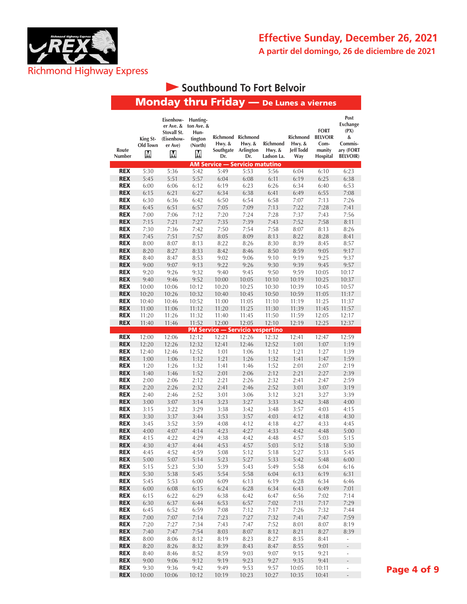

# **Southbound To Fort Belvoir**

| Route<br>Number | King St-<br>Old Town<br>М | Eisenhow-<br>er Ave. &<br>Stovall St.<br>(Eisenhow-<br>er Ave)<br>М | Hunting-<br>ton Ave. &<br>Hun-<br>tington<br>(North)<br>М | Hwy. &<br>Southgate<br>Dr.              | Richmond Richmond<br>Hwy. $&$<br>Arlington<br>Dr. | Richmond<br>Hwy. &<br>Ladson La. | Richmond<br>Hwy. &<br><b>Jeff Todd</b><br>Way | <b>FORT</b><br><b>BELVOIR</b><br>Com-<br>munity<br>Hospital | Post<br><b>Exchange</b><br>(PX)<br>&<br>Commis-<br>ary (FORT<br><b>BELVOIR)</b> |
|-----------------|---------------------------|---------------------------------------------------------------------|-----------------------------------------------------------|-----------------------------------------|---------------------------------------------------|----------------------------------|-----------------------------------------------|-------------------------------------------------------------|---------------------------------------------------------------------------------|
|                 |                           |                                                                     |                                                           | AM Service — Servicio matutino          |                                                   |                                  |                                               |                                                             |                                                                                 |
| <b>REX</b>      | 5:30                      | 5:36                                                                | 5:42                                                      | 5:49                                    | 5:53                                              | 5:56                             | 6:04                                          | 6:10                                                        | 6:23                                                                            |
| <b>REX</b>      | 5:45                      | 5:51                                                                | 5:57                                                      | 6:04                                    | 6:08                                              | 6:11                             | 6:19                                          | 6:25                                                        | 6:38                                                                            |
| <b>REX</b>      | 6:00                      | 6:06                                                                | 6:12                                                      | 6:19                                    | 6:23                                              | 6:26                             | 6:34                                          | 6:40                                                        | 6:53                                                                            |
| <b>REX</b>      | 6:15                      | 6:21                                                                | 6:27                                                      | 6:34                                    | 6:38                                              | 6:41                             | 6:49                                          | 6:55                                                        | 7:08                                                                            |
| <b>REX</b>      | 6:30                      | 6:36                                                                | 6:42                                                      | 6:50                                    | 6:54                                              | 6:58                             | 7:07                                          | 7:13                                                        | 7:26                                                                            |
| <b>REX</b>      | 6:45                      | 6:51                                                                | 6:57                                                      | 7:05                                    | 7:09                                              | 7:13                             | 7:22                                          | 7:28                                                        | 7:41                                                                            |
| <b>REX</b>      | 7:00                      | 7:06                                                                | 7:12                                                      | 7:20                                    | 7:24                                              | 7:28                             | 7:37                                          | 7:43                                                        | 7:56                                                                            |
| <b>REX</b>      | 7:15                      | 7:21                                                                | 7:27                                                      | 7:35                                    | 7:39                                              | 7:43                             | 7:52                                          | 7:58                                                        | 8:11                                                                            |
| <b>REX</b>      | 7:30                      | 7:36                                                                | 7:42                                                      | 7:50                                    | 7:54                                              | 7:58                             | 8:07                                          | 8:13                                                        | 8:26                                                                            |
| <b>REX</b>      | 7:45                      | 7:51                                                                | 7:57                                                      | 8:05                                    | 8:09                                              | 8:13                             | 8:22                                          | 8:28                                                        | 8:41                                                                            |
| <b>REX</b>      | 8:00                      | 8:07                                                                | 8:13                                                      | 8:22                                    | 8:26                                              | 8:30                             | 8:39                                          | 8:45                                                        | 8:57                                                                            |
| <b>REX</b>      | 8:20                      | 8:27                                                                | 8:33                                                      | 8:42                                    | 8:46                                              | 8:50                             | 8:59                                          | 9:05                                                        | 9:17                                                                            |
| <b>REX</b>      | 8:40                      | 8:47                                                                | 8:53                                                      | 9:02                                    | 9:06                                              | 9:10                             | 9:19                                          | 9:25                                                        | 9:37                                                                            |
| <b>REX</b>      | 9:00                      | 9:07                                                                | 9:13                                                      | 9:22                                    | 9:26                                              | 9:30                             | 9:39                                          | 9:45                                                        | 9:57                                                                            |
| <b>REX</b>      | 9:20                      | 9:26                                                                | 9:32                                                      | 9:40                                    | 9:45                                              | 9:50                             | 9:59                                          | 10:05                                                       | 10:17                                                                           |
| <b>REX</b>      | 9:40                      | 9:46                                                                | 9:52                                                      | 10:00                                   | 10:05                                             | 10:10                            | 10:19                                         | 10:25                                                       | 10:37                                                                           |
| <b>REX</b>      | 10:00                     | 10:06                                                               | 10:12                                                     | 10:20                                   | 10:25                                             | 10:30                            | 10:39                                         | 10:45                                                       | 10:57                                                                           |
| <b>REX</b>      | 10:20                     | 10:26                                                               | 10:32                                                     | 10:40                                   | 10:45                                             | 10:50                            | 10:59                                         | 11:05                                                       | 11:17                                                                           |
| <b>REX</b>      | 10:40                     | 10:46                                                               | 10:52                                                     | 11:00                                   | 11:05                                             | 11:10                            | 11:19                                         | 11:25                                                       | 11:37                                                                           |
| <b>REX</b>      | 11:00                     | 11:06                                                               | 11:12                                                     | 11:20                                   | 11:25                                             | 11:30                            | 11:39                                         | 11:45                                                       | 11:57                                                                           |
| <b>REX</b>      | 11:20                     | 11:26                                                               | 11:32                                                     | 11:40                                   | 11:45                                             | 11:50                            | 11:59                                         | 12:05                                                       | 12:17                                                                           |
| <b>REX</b>      | 11:40                     | 11:46                                                               | 11:52                                                     | 12:00                                   | 12:05                                             | 12:10                            | 12:19                                         | 12:25                                                       | 12:37                                                                           |
|                 |                           |                                                                     |                                                           | <b>PM Service - Servicio vespertino</b> |                                                   |                                  |                                               |                                                             |                                                                                 |
| <b>REX</b>      | 12:00                     | 12:06                                                               | 12:12                                                     | 12:21                                   | 12:26                                             | 12:32                            | 12:41                                         | 12:47                                                       | 12:59                                                                           |
| <b>REX</b>      | 12:20                     | 12:26                                                               | 12:32                                                     | 12:41                                   | 12:46                                             | 12:52                            | 1:01                                          | 1:07                                                        | 1:19                                                                            |
| <b>REX</b>      | 12:40                     | 12:46                                                               | 12:52                                                     | 1:01                                    | 1:06                                              | 1:12                             | 1:21                                          | 1:27                                                        | 1:39                                                                            |
| <b>REX</b>      | 1:00                      | 1:06                                                                | 1:12                                                      | 1:21                                    | 1:26                                              | 1:32                             | 1:41                                          | 1:47                                                        | 1:59                                                                            |
| <b>REX</b>      | 1:20                      | 1:26                                                                | 1:32                                                      | 1:41                                    | 1:46                                              | 1:52                             | 2:01                                          | 2:07                                                        | 2:19                                                                            |
| <b>REX</b>      | 1:40                      | 1:46                                                                | 1:52                                                      | 2:01                                    | 2:06                                              | 2:12                             | 2:21                                          | 2:27                                                        | 2:39                                                                            |
| <b>REX</b>      | 2:00                      | 2:06                                                                | 2:12                                                      | 2:21                                    | 2:26                                              | 2:32                             | 2:41                                          | 2:47                                                        | 2:59                                                                            |
| <b>REX</b>      | 2:20                      | 2:26                                                                | 2:32                                                      | 2:41                                    | 2:46                                              | 2:52                             | 3:01                                          | 3:07                                                        | 3:19                                                                            |
| <b>REX</b>      | 2:40                      | 2:46                                                                | 2:52                                                      | 3:01                                    | 3:06                                              | 3:12                             | 3:21                                          | 3:27                                                        | 3:39                                                                            |
| <b>REX</b>      | 3:00                      | 3:07                                                                | 3:14                                                      | 3:23                                    | 3:27                                              | 3:33                             | 3:42                                          | 3:48                                                        | 4:00                                                                            |
| <b>REX</b>      | 3:15                      | 3:22                                                                | 3:29                                                      | 3:38                                    | 3:42                                              | 3:48                             | 3:57                                          | 4:03                                                        | 4:15                                                                            |
| <b>REX</b>      | 3:30                      | 3:37                                                                | 3:44                                                      | 3:53                                    | 3:57                                              | 4:03                             | 4:12                                          | 4:18                                                        | 4:30                                                                            |
| <b>REX</b>      | 3:45                      | 3:52                                                                | 3:59                                                      | 4:08                                    | 4:12                                              | 4:18                             | 4:27                                          | 4:33                                                        | 4:45                                                                            |
| <b>REX</b>      | 4:00                      | 4:07                                                                | 4:14                                                      | 4:23                                    | 4:27                                              | 4:33                             | 4:42                                          | 4:48                                                        | 5:00                                                                            |
| <b>REX</b>      | 4:15                      | 4:22                                                                | 4:29                                                      | 4:38                                    | 4:42                                              | 4:48                             | 4:57                                          | 5:03                                                        | 5:15                                                                            |
| <b>REX</b>      | 4:30                      | 4:37                                                                | 4:44                                                      | 4:53                                    | 4:57                                              | 5:03                             | 5:12                                          | 5:18                                                        | 5:30                                                                            |
| <b>REX</b>      | 4:45                      | 4:52                                                                | 4:59                                                      | 5:08                                    | 5:12                                              | 5:18                             | 5:27                                          | 5:33                                                        | 5:45                                                                            |
| <b>REX</b>      | 5:00                      | 5:07                                                                | 5:14                                                      | 5:23                                    | 5:27                                              | 5:33                             | 5:42                                          | 5:48                                                        | 6:00                                                                            |
| <b>REX</b>      | 5:15                      | 5:23                                                                | 5:30                                                      | 5:39                                    | 5:43                                              | 5:49                             | 5:58                                          | 6:04                                                        | 6:16                                                                            |
| <b>REX</b>      | 5:30                      | 5:38                                                                | 5:45                                                      | 5:54                                    | 5:58                                              | 6:04                             | 6:13                                          | 6:19                                                        | 6:31                                                                            |
| <b>REX</b>      | 5:45                      | 5:53                                                                | 6:00                                                      | 6:09                                    | 6:13                                              | 6:19                             | 6:28                                          | 6:34                                                        | 6:46                                                                            |
| <b>REX</b>      | 6:00                      | 6:08                                                                | 6:15                                                      | 6:24                                    | 6:28                                              | 6:34                             | 6:43                                          | 6:49                                                        | 7:01                                                                            |
| <b>REX</b>      | 6:15                      | 6:22                                                                | 6:29                                                      | 6:38                                    | 6:42                                              | 6:47                             | 6:56                                          | 7:02                                                        | 7:14                                                                            |
| <b>REX</b>      | 6:30                      | 6:37                                                                | 6:44                                                      | 6:53                                    | 6:57                                              | 7:02                             | 7:11                                          | 7:17                                                        | 7:29                                                                            |
| <b>REX</b>      | 6:45                      | 6:52                                                                | 6:59                                                      | 7:08                                    | 7:12                                              | 7:17                             | 7:26                                          | 7:32                                                        | 7:44                                                                            |
| <b>REX</b>      | 7:00                      | 7:07                                                                | 7:14                                                      | 7:23                                    | 7:27                                              | 7:32                             | 7:41                                          | 7:47                                                        | 7:59                                                                            |
| <b>REX</b>      | 7:20                      | 7:27                                                                | 7:34                                                      | 7:43                                    | 7:47                                              | 7:52                             | 8:01                                          | 8:07                                                        | 8:19                                                                            |
| <b>REX</b>      | 7:40                      | 7:47                                                                | 7:54                                                      | 8:03                                    | 8:07                                              | 8:12                             | 8:21                                          | 8:27                                                        | 8:39                                                                            |
| <b>REX</b>      | 8:00                      | 8:06                                                                | 8:12                                                      | 8:19                                    | 8:23                                              | 8:27                             | 8:35                                          | 8:41                                                        | $\overline{\phantom{a}}$                                                        |
| <b>REX</b>      | 8:20                      | 8:26                                                                | 8:32                                                      | 8:39                                    | 8:43                                              | 8:47                             | 8:55                                          | 9:01                                                        | L,                                                                              |
| <b>REX</b>      | 8:40                      | 8:46                                                                | 8:52                                                      | 8:59                                    | 9:03                                              | 9:07                             | 9:15                                          | 9:21                                                        | ÷,                                                                              |
| <b>REX</b>      | 9:00                      | 9:06                                                                | 9:12                                                      | 9:19                                    | 9:23                                              | 9:27                             | 9:35                                          | 9:41                                                        | $\frac{1}{2}$                                                                   |
| <b>REX</b>      | 9:30                      | 9:36                                                                | 9:42                                                      | 9:49                                    | 9:53                                              | 9:57                             | 10:05                                         | 10:11                                                       | $\overline{\phantom{a}}$                                                        |
| <b>REX</b>      | 10:00                     | 10:06                                                               | 10:12                                                     | 10:19                                   | 10:23                                             | 10:27                            | 10:35                                         | 10:41                                                       | $\frac{1}{2}$                                                                   |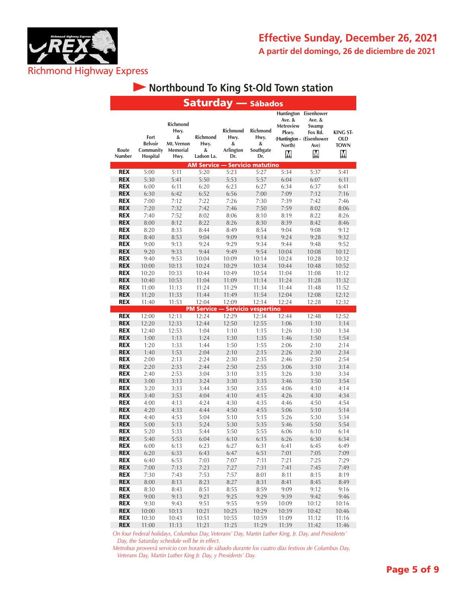

## **• Northbound To King St-Old Town station**

|                          | <b>Saturday</b> — Sábados                       |                                                         |                                            |                                                  |                                           |                                                    |                                                                                               |                                                   |
|--------------------------|-------------------------------------------------|---------------------------------------------------------|--------------------------------------------|--------------------------------------------------|-------------------------------------------|----------------------------------------------------|-----------------------------------------------------------------------------------------------|---------------------------------------------------|
| Route<br>Number          | Fort<br><b>Belvoir</b><br>Community<br>Hospital | Richmond<br>Hwy.<br>&<br>Mt. Vernon<br>Memorial<br>Hwy. | <b>Richmond</b><br>Hwy.<br>&<br>Ladson La. | <b>Richmond</b><br>Hwy.<br>&<br>Arlington<br>Dr. | Richmond<br>Hwy.<br>&<br>Southgate<br>Dr. | Ave. &<br><b>Metroview</b><br>Pkwy.<br>North)<br>Μ | Huntington Eisenhower<br>Ave. &<br>Swamp<br>Fox Rd.<br>(Huntington - (Eisenhower<br>Ave)<br>M | <b>KING ST-</b><br><b>OLD</b><br><b>TOWN</b><br>M |
|                          |                                                 |                                                         | <b>AM Service - Servicio matutino</b>      |                                                  |                                           |                                                    |                                                                                               |                                                   |
| <b>REX</b>               | 5:00                                            | 5:11                                                    | 5:20                                       | 5:23                                             | 5:27                                      | 5:34                                               | 5:37                                                                                          | 5:41                                              |
| <b>REX</b>               | 5:30                                            | 5:41                                                    | 5:50                                       | 5:53                                             | 5:57                                      | 6:04                                               | 6:07                                                                                          | 6:11                                              |
| <b>REX</b>               | 6:00                                            | 6:11                                                    | 6:20                                       | 6:23                                             | 6:27                                      | 6:34                                               | 6:37                                                                                          | 6:41                                              |
| <b>REX</b>               | 6:30                                            | 6:42                                                    | 6:52                                       | 6:56                                             | 7:00                                      | 7:09                                               | 7:12                                                                                          | 7:16                                              |
| <b>REX</b>               | 7:00                                            | 7:12                                                    | 7:22                                       | 7:26                                             | 7:30                                      | 7:39                                               | 7:42                                                                                          | 7:46                                              |
| <b>REX</b>               | 7:20                                            | 7:32                                                    | 7:42                                       | 7:46                                             | 7:50                                      | 7:59                                               | 8:02                                                                                          | 8:06                                              |
| <b>REX</b>               | 7:40                                            | 7:52                                                    | 8:02                                       | 8:06                                             | 8:10                                      | 8:19                                               | 8:22                                                                                          | 8:26                                              |
| <b>REX</b>               | 8:00                                            | 8:12                                                    | 8:22                                       | 8:26                                             | 8:30                                      | 8:39                                               | 8:42                                                                                          | 8:46                                              |
| <b>REX</b>               | 8:20                                            | 8:33                                                    | 8:44                                       | 8:49                                             | 8:54                                      | 9:04                                               | 9:08                                                                                          | 9:12                                              |
| <b>REX</b>               | 8:40                                            | 8:53                                                    | 9:04                                       | 9:09                                             | 9:14                                      | 9:24                                               | 9:28                                                                                          | 9:32                                              |
| <b>REX</b>               | 9:00                                            | 9:13                                                    | 9:24                                       | 9:29                                             | 9:34                                      | 9:44                                               | 9:48                                                                                          | 9:52                                              |
| <b>REX</b><br><b>REX</b> | 9:20<br>9:40                                    | 9:33<br>9:53                                            | 9:44                                       | 9:49                                             | 9:54<br>10:14                             | 10:04<br>10:24                                     | 10:08<br>10:28                                                                                | 10:12<br>10:32                                    |
| <b>REX</b>               | 10:00                                           | 10:13                                                   | 10:04<br>10:24                             | 10:09<br>10:29                                   | 10:34                                     | 10:44                                              | 10:48                                                                                         | 10:52                                             |
| <b>REX</b>               | 10:20                                           | 10:33                                                   | 10:44                                      | 10:49                                            | 10:54                                     | 11:04                                              | 11:08                                                                                         | 11:12                                             |
| <b>REX</b>               | 10:40                                           | 10:53                                                   | 11:04                                      | 11:09                                            | 11:14                                     | 11:24                                              | 11:28                                                                                         | 11:32                                             |
| <b>REX</b>               | 11:00                                           | 11:13                                                   | 11:24                                      | 11:29                                            | 11:34                                     | 11:44                                              | 11:48                                                                                         | 11:52                                             |
| <b>REX</b>               | 11:20                                           | 11:33                                                   | 11:44                                      | 11:49                                            | 11:54                                     | 12:04                                              | 12:08                                                                                         | 12:12                                             |
| <b>REX</b>               | 11:40                                           | 11:53                                                   | 12:04                                      | 12:09                                            | 12:14                                     | 12:24                                              | 12:28                                                                                         | 12:32                                             |
|                          |                                                 |                                                         | <b>PM Service - Servicio vespertino</b>    |                                                  |                                           |                                                    |                                                                                               |                                                   |
| <b>REX</b>               | $\overline{12:00}$                              | 12:13                                                   | 12:24                                      | 12:29                                            | 12:34                                     | 12:44                                              | 12:48                                                                                         | 12:52                                             |
| <b>REX</b>               | 12:20                                           | 12:33                                                   | 12:44                                      | 12:50                                            | 12:55                                     | 1:06                                               | 1:10                                                                                          | 1:14                                              |
| <b>REX</b>               | 12:40                                           | 12:53                                                   | 1:04                                       | 1:10                                             | 1:15                                      | 1:26                                               | 1:30                                                                                          | 1:34                                              |
| <b>REX</b>               | 1:00                                            | 1:13                                                    | 1:24                                       | 1:30                                             | 1:35                                      | 1:46                                               | 1:50                                                                                          | 1:54                                              |
| <b>REX</b>               | 1:20                                            | 1:33                                                    | 1:44                                       | 1:50                                             | 1:55                                      | 2:06                                               | 2:10                                                                                          | 2:14                                              |
| <b>REX</b>               | 1:40                                            | 1:53                                                    | 2:04                                       | 2:10                                             | 2:15                                      | 2:26                                               | 2:30                                                                                          | 2:34                                              |
| <b>REX</b>               | 2:00                                            | 2:13                                                    | 2:24                                       | 2:30                                             | 2:35                                      | 2:46                                               | 2:50                                                                                          | 2:54                                              |
| <b>REX</b>               | 2:20                                            | 2:33                                                    | 2:44                                       | 2:50                                             | 2:55                                      | 3:06                                               | 3:10                                                                                          | 3:14                                              |
| <b>REX</b>               | 2:40                                            | 2:53                                                    | 3:04                                       | 3:10                                             | 3:15                                      | 3:26                                               | 3:30                                                                                          | 3:34                                              |
| <b>REX</b>               | 3:00                                            | 3:13                                                    | 3:24                                       | 3:30                                             | 3:35                                      | 3:46                                               | 3:50                                                                                          | 3:54                                              |
| <b>REX</b><br><b>REX</b> | 3:20                                            | 3:33                                                    | 3:44                                       | 3:50                                             | 3:55                                      | 4:06                                               | 4:10                                                                                          | 4:14<br>4:34                                      |
| <b>REX</b>               | 3:40<br>4:00                                    | 3:53<br>4:13                                            | 4:04<br>4:24                               | 4:10<br>4:30                                     | 4:15<br>4:35                              | 4:26<br>4:46                                       | 4:30<br>4:50                                                                                  | 4:54                                              |
| <b>REX</b>               | 4:20                                            | 4:33                                                    | 4:44                                       | 4:50                                             | 4:55                                      | 5:06                                               | 5:10                                                                                          | 5:14                                              |
| <b>REX</b>               | 4:40                                            | 4:53                                                    | 5:04                                       | 5:10                                             | 5:15                                      | 5:26                                               | 5:30                                                                                          | 5:34                                              |
| <b>REX</b>               | 5:00                                            | 5:13                                                    | 5:24                                       | 5:30                                             | 5:35                                      | 5:46                                               | 5:50                                                                                          | 5:54                                              |
| <b>REX</b>               | 5:20                                            | 5:33                                                    | 5:44                                       | 5:50                                             | 5:55                                      | 6:06                                               | 6:10                                                                                          | 6:14                                              |
| <b>REX</b>               | 5:40                                            | 5:53                                                    | 6:04                                       | 6:10                                             | 6:15                                      | 6:26                                               | 6:30                                                                                          | 6:34                                              |
| <b>REX</b>               | 6:00                                            | 6:13                                                    | 6:23                                       | 6:27                                             | 6:31                                      | 6:41                                               | 6:45                                                                                          | 6:49                                              |
| <b>REX</b>               | 6:20                                            | 6:33                                                    | 6:43                                       | 6:47                                             | 6:51                                      | 7:01                                               | 7:05                                                                                          | 7:09                                              |
| <b>REX</b>               | 6:40                                            | 6:53                                                    | 7:03                                       | 7:07                                             | 7:11                                      | 7:21                                               | 7:25                                                                                          | 7:29                                              |
| <b>REX</b>               | 7:00                                            | 7:13                                                    | 7:23                                       | 7:27                                             | 7:31                                      | 7:41                                               | 7:45                                                                                          | 7:49                                              |
| <b>REX</b>               | 7:30                                            | 7:43                                                    | 7:53                                       | 7:57                                             | 8:01                                      | 8:11                                               | 8:15                                                                                          | 8:19                                              |
| <b>REX</b>               | 8:00                                            | 8:13                                                    | 8:23                                       | 8:27                                             | 8:31                                      | 8:41                                               | 8:45                                                                                          | 8:49                                              |
| <b>REX</b>               | 8:30                                            | 8:43                                                    | 8:51                                       | 8:55                                             | 8:59                                      | 9:09                                               | 9:12                                                                                          | 9:16                                              |
| <b>REX</b>               | 9:00                                            | 9:13                                                    | 9:21                                       | 9:25                                             | 9:29                                      | 9:39                                               | 9:42                                                                                          | 9:46                                              |
| <b>REX</b>               | 9:30                                            | 9:43                                                    | 9:51                                       | 9:55                                             | 9:59                                      | 10:09                                              | 10:12                                                                                         | 10:16                                             |
| <b>REX</b>               | 10:00                                           | 10:13                                                   | 10:21                                      | 10:25                                            | 10:29                                     | 10:39                                              | 10:42                                                                                         | 10:46                                             |
| <b>REX</b>               | 10:30                                           | 10:43                                                   | 10:51                                      | 10:55                                            | 10:59                                     | 11:09                                              | 11:12                                                                                         | 11:16                                             |
| <b>REX</b>               | 11:00                                           | 11:13                                                   | 11:21                                      | 11:25                                            | 11:29                                     | 11:39                                              | 11:42                                                                                         | 11:46                                             |

*On four Federal holidays, Columbus Day, Veterans' Day, Martin Luther King, Jr. Day, and Presidents' Day, the Saturday schedule will be in effect.*

*Metrobus proveerá servicio con horario de sábado durante los cuatro días festivos de Columbus Day, Veterans Day, Martin Luther King Jr. Day, y Presidents' Day.*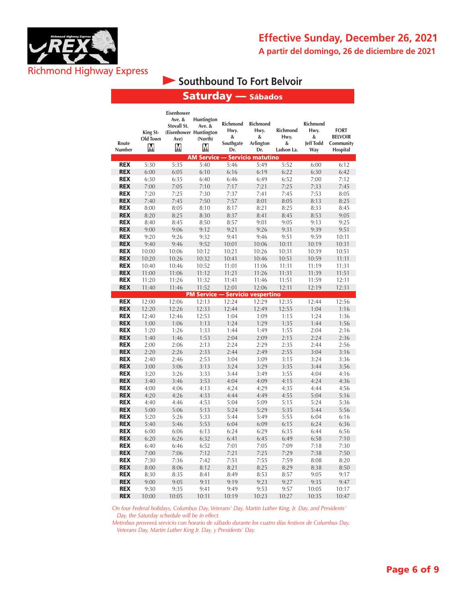

# **Southbound To Fort Belvoir**

Saturday — Sábados

| Route<br><b>Number</b>   | King St-<br>Old Town<br>M | Eisenhower<br>Ave. &<br>Stovall St.<br>(Eisenhower Huntington<br>Ave)<br>М | <b>Huntington</b><br>Ave. &<br>(North)<br>М | <b>Richmond</b><br>Hwy.<br>&<br>Southgate<br>Dr. | <b>Richmond</b><br>Hwy.<br>&<br>Arlington<br>Dr. | <b>Richmond</b><br>Hwy.<br>&<br>Ladson La. | Richmond<br>Hwy.<br>&<br><b>Jeff Todd</b><br>Way | <b>FORT</b><br><b>BELVOIR</b><br>Community<br>Hospital |
|--------------------------|---------------------------|----------------------------------------------------------------------------|---------------------------------------------|--------------------------------------------------|--------------------------------------------------|--------------------------------------------|--------------------------------------------------|--------------------------------------------------------|
|                          |                           |                                                                            | <b>AM Service — Servicio matutino</b>       |                                                  |                                                  |                                            |                                                  |                                                        |
| <b>REX</b>               | 5:30                      | 5:35                                                                       | 5:40                                        | 5:46                                             | 5:49                                             | 5:52                                       | 6:00                                             | 6:12                                                   |
| <b>REX</b>               | 6:00                      | 6:05                                                                       | 6:10                                        | 6:16                                             | 6:19                                             | 6:22                                       | 6:30                                             | 6:42                                                   |
| <b>REX</b>               | 6:30                      | 6:35                                                                       | 6:40                                        | 6:46                                             | 6:49                                             | 6:52                                       | 7:00                                             | 7:12                                                   |
| <b>REX</b>               | 7:00                      | 7:05                                                                       | 7:10                                        | 7:17                                             | 7:21                                             | 7:25                                       | 7:33                                             | 7:45                                                   |
| <b>REX</b>               | 7:20                      | 7:25                                                                       | 7:30                                        | 7:37                                             | 7:41                                             | 7:45                                       | 7:53                                             | 8:05                                                   |
| <b>REX</b>               | 7:40                      | 7:45                                                                       | 7:50                                        | 7:57                                             | 8:01                                             | 8:05                                       | 8:13                                             | 8:25                                                   |
| <b>REX</b>               | 8:00                      | 8:05                                                                       | 8:10                                        | 8:17                                             | 8:21                                             | 8:25                                       | 8:33                                             | 8:45                                                   |
| <b>REX</b>               | 8:20                      | 8:25                                                                       | 8:30                                        | 8:37                                             | 8:41                                             | 8:45                                       | 8:53                                             | 9:05                                                   |
| <b>REX</b>               | 8:40                      | 8:45                                                                       | 8:50                                        | 8:57                                             | 9:01                                             | 9:05                                       | 9:13                                             | 9:25                                                   |
| <b>REX</b>               | 9:00                      | 9:06                                                                       | 9:12                                        | 9:21                                             | 9:26                                             | 9:31                                       | 9:39                                             | 9:51                                                   |
| <b>REX</b>               | 9:20                      | 9:26                                                                       | 9:32                                        | 9:41                                             | 9:46                                             | 9:51                                       | 9:59                                             | 10:11                                                  |
| <b>REX</b>               | 9:40                      | 9:46                                                                       | 9:52                                        | 10:01                                            | 10:06                                            | 10:11                                      | 10:19                                            | 10:31                                                  |
| <b>REX</b>               | 10:00                     | 10:06                                                                      | 10:12                                       | 10:21                                            | 10:26                                            | 10:31                                      | 10:39                                            | 10:51                                                  |
| <b>REX</b>               | 10:20                     | 10:26                                                                      | 10:32                                       | 10:41                                            | 10:46                                            | 10:51                                      | 10:59                                            | 11:11                                                  |
| <b>REX</b>               | 10:40                     | 10:46                                                                      | 10:52                                       | 11:01                                            | 11:06                                            | 11:11                                      | 11:19                                            | 11:31                                                  |
| <b>REX</b>               | 11:00                     | 11:06                                                                      | 11:12                                       | 11:21                                            | 11:26                                            | 11:31                                      | 11:39                                            | 11:51                                                  |
| <b>REX</b>               | 11:20                     | 11:26                                                                      | 11:32                                       | 11:41                                            | 11:46                                            | 11:51                                      | 11:59                                            | 12:11                                                  |
| <b>REX</b>               | 11:40                     | 11:46                                                                      | 11:52                                       | 12:01                                            | 12:06                                            | 12:11                                      | 12:19                                            | 12:31                                                  |
|                          |                           |                                                                            | <b>PM Service - Servicio vespertino</b>     |                                                  |                                                  |                                            |                                                  |                                                        |
| <b>REX</b>               | 12:00                     | 12:06                                                                      | 12:13                                       | 12:24                                            | 12:29                                            | 12:35                                      | 12:44                                            | 12:56                                                  |
| <b>REX</b>               | 12:20                     | 12:26                                                                      | 12:33                                       | 12:44                                            | 12:49                                            | 12:55                                      | 1:04                                             | 1:16                                                   |
| <b>REX</b>               | 12:40                     | 12:46                                                                      | 12:53                                       | 1:04                                             | 1:09                                             | 1:15                                       | 1:24                                             | 1:36                                                   |
| <b>REX</b>               | 1:00                      | 1:06                                                                       | 1:13                                        | 1:24                                             | 1:29                                             | 1:35                                       | 1:44                                             | 1:56                                                   |
| <b>REX</b>               | 1:20                      | 1:26                                                                       | 1:33                                        | 1:44                                             | 1:49                                             | 1:55                                       | 2:04                                             | 2:16                                                   |
| <b>REX</b>               | 1:40                      | 1:46                                                                       | 1:53                                        | 2:04                                             | 2:09                                             | 2:15                                       | 2:24                                             | 2:36                                                   |
| <b>REX</b>               | 2:00                      | 2:06                                                                       | 2:13                                        | 2:24                                             | 2:29                                             | 2:35                                       | 2:44                                             | 2:56                                                   |
| <b>REX</b>               | 2:20                      | 2:26                                                                       | 2:33                                        | 2:44                                             | 2:49                                             | 2:55                                       | 3:04                                             | 3:16                                                   |
| <b>REX</b><br><b>REX</b> | 2:40                      | 2:46                                                                       | 2:53                                        | 3:04                                             | 3:09                                             | 3:15                                       | 3:24                                             | 3:36                                                   |
|                          | 3:00                      | 3:06                                                                       | 3:13                                        | 3:24                                             | 3:29                                             | 3:35                                       | 3:44                                             | 3:56                                                   |
| <b>REX</b>               | 3:20                      | 3:26                                                                       | 3:33                                        | 3:44                                             | 3:49                                             | 3:55                                       | 4:04                                             | 4:16                                                   |
| <b>REX</b><br><b>REX</b> | 3:40                      | 3:46                                                                       | 3:53                                        | 4:04                                             | 4:09                                             | 4:15                                       | 4:24<br>4:44                                     | 4:36                                                   |
| <b>REX</b>               | 4:00                      | 4:06                                                                       | 4:13                                        | 4:24                                             | 4:29                                             | 4:35<br>4:55                               |                                                  | 4:56                                                   |
| <b>REX</b>               | 4:20<br>4:40              | 4:26<br>4:46                                                               | 4:33<br>4:53                                | 4:44<br>5:04                                     | 4:49<br>5:09                                     | 5:15                                       | 5:04<br>5:24                                     | 5:16<br>5:36                                           |
| <b>REX</b>               |                           |                                                                            | 5:13                                        | 5:24                                             | 5:29                                             | 5:35                                       | 5:44                                             | 5:56                                                   |
| <b>REX</b>               | 5:00<br>5:20              | 5:06<br>5:26                                                               | 5:33                                        | 5:44                                             | 5:49                                             | 5:55                                       | 6:04                                             | 6:16                                                   |
| <b>REX</b>               | 5:40                      | 5:46                                                                       | 5:53                                        | 6:04                                             | 6:09                                             | 6:15                                       | 6:24                                             | 6:36                                                   |
| <b>REX</b>               | 6:00                      | 6:06                                                                       | 6:13                                        | 6:24                                             | 6:29                                             | 6:35                                       | 6:44                                             | 6:56                                                   |
| <b>REX</b>               | 6:20                      | 6:26                                                                       | 6:32                                        | 6:41                                             | 6:45                                             | 6:49                                       | 6:58                                             | 7:10                                                   |
| <b>REX</b>               | 6:40                      | 6:46                                                                       | 6:52                                        | 7:01                                             | 7:05                                             | 7:09                                       | 7:18                                             | 7:30                                                   |
| <b>REX</b>               | 7:00                      | 7:06                                                                       | 7:12                                        | 7:21                                             | 7:25                                             | 7:29                                       | 7:38                                             | 7:50                                                   |
| <b>REX</b>               | 7:30                      | 7:36                                                                       | 7:42                                        | 7:51                                             | 7:55                                             | 7:59                                       | 8:08                                             | 8:20                                                   |
| <b>REX</b>               | 8:00                      | 8:06                                                                       | 8:12                                        | 8:21                                             | 8:25                                             | 8:29                                       | 8:38                                             | 8:50                                                   |
| <b>REX</b>               | 8:30                      | 8:35                                                                       | 8:41                                        | 8:49                                             | 8:53                                             | 8:57                                       | 9:05                                             | 9:17                                                   |
| <b>REX</b>               | 9:00                      | 9:05                                                                       | 9:11                                        | 9:19                                             | 9:23                                             | 9:27                                       | 9:35                                             | 9:47                                                   |
| <b>REX</b>               | 9:30                      | 9:35                                                                       | 9:41                                        | 9:49                                             | 9:53                                             | 9:57                                       | 10:05                                            | 10:17                                                  |
| <b>REX</b>               | 10:00                     | 10:05                                                                      | 10:11                                       | 10:19                                            | 10:23                                            | 10:27                                      | 10:35                                            | 10:47                                                  |

*On four Federal holidays, Columbus Day, Veterans' Day, Martin Luther King, Jr. Day, and Presidents' Day, the Saturday schedule will be in effect.*

*Metrobus proveerá servicio con horario de sábado durante los cuatro días festivos de Columbus Day, Veterans Day, Martin Luther King Jr. Day, y Presidents' Day.*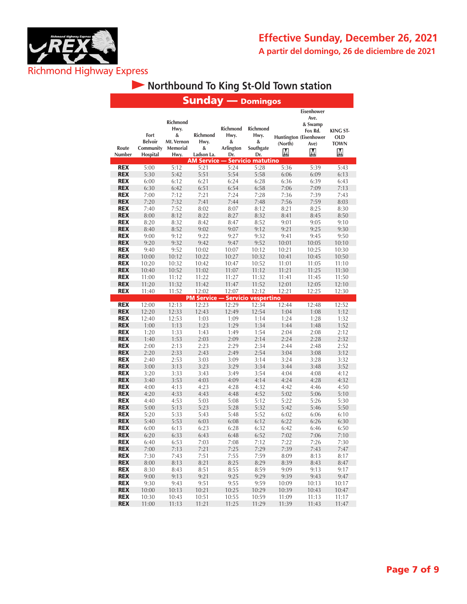

Τ

# **• Northbound To King St-Old Town station**

|                          |                                                 |                                                         |                                            | <b>Sunday</b> — Domingos                         |                                           |                |                                                                                        |                                                   |
|--------------------------|-------------------------------------------------|---------------------------------------------------------|--------------------------------------------|--------------------------------------------------|-------------------------------------------|----------------|----------------------------------------------------------------------------------------|---------------------------------------------------|
| Route<br>Number          | Fort<br><b>Belvoir</b><br>Community<br>Hospital | Richmond<br>Hwy.<br>&<br>Mt. Vernon<br>Memorial<br>Hwy. | <b>Richmond</b><br>Hwy.<br>&<br>Ladson La. | Richmond<br>Hwy.<br>&<br>Arlington<br>Dr.        | Richmond<br>Hwy.<br>&<br>Southgate<br>Dr. | (North)<br>M   | Eisenhower<br>Ave.<br>& Swamp<br>Fox Rd.<br><b>Huntington (Eisenhower</b><br>Ave)<br>M | <b>KING ST-</b><br><b>OLD</b><br><b>TOWN</b><br>M |
| <b>REX</b>               | 5:00                                            | 5:12                                                    | 5:21                                       | AM Service — Servicio matutino<br>5:24           | 5:28                                      | 5:36           | 5:39                                                                                   | 5:43                                              |
| <b>REX</b>               | 5:30                                            | 5:42                                                    | 5:51                                       | 5:54                                             | 5:58                                      | 6:06           | 6:09                                                                                   | 6:13                                              |
| <b>REX</b>               | 6:00                                            | 6:12                                                    | 6:21                                       | 6:24                                             | 6:28                                      | 6:36           | 6:39                                                                                   | 6:43                                              |
| <b>REX</b>               | 6:30                                            | 6:42                                                    | 6:51                                       | 6:54                                             | 6:58                                      | 7:06           | 7:09                                                                                   | 7:13                                              |
| <b>REX</b>               | 7:00                                            | 7:12                                                    | 7:21                                       | 7:24                                             | 7:28                                      | 7:36           | 7:39                                                                                   | 7:43                                              |
| <b>REX</b>               | 7:20                                            | 7:32                                                    | 7:41                                       | 7:44                                             | 7:48                                      | 7:56           | 7:59                                                                                   | 8:03                                              |
| <b>REX</b>               | 7:40                                            | 7:52                                                    | 8:02                                       | 8:07                                             | 8:12                                      | 8:21           | 8:25                                                                                   | 8:30                                              |
| <b>REX</b>               | 8:00                                            | 8:12                                                    | 8:22                                       | 8:27                                             | 8:32                                      | 8:41           | 8:45                                                                                   | 8:50                                              |
| <b>REX</b>               | 8:20                                            | 8:32                                                    | 8:42                                       | 8:47                                             | 8:52                                      | 9:01           | 9:05                                                                                   | 9:10                                              |
| <b>REX</b>               | 8:40                                            | 8:52                                                    | 9:02                                       | 9:07                                             | 9:12<br>9:32                              | 9:21           | 9:25                                                                                   | 9:30                                              |
| <b>REX</b><br><b>REX</b> | 9:00<br>9:20                                    | 9:12<br>9:32                                            | 9:22<br>9:42                               | 9:27<br>9:47                                     | 9:52                                      | 9:41<br>10:01  | 9:45<br>10:05                                                                          | 9:50<br>10:10                                     |
| <b>REX</b>               | 9:40                                            | 9:52                                                    | 10:02                                      | 10:07                                            | 10:12                                     | 10:21          | 10:25                                                                                  | 10:30                                             |
| <b>REX</b>               | 10:00                                           | 10:12                                                   | 10:22                                      | 10:27                                            | 10:32                                     | 10:41          | 10:45                                                                                  | 10:50                                             |
| <b>REX</b>               | 10:20                                           | 10:32                                                   | 10:42                                      | 10:47                                            | 10:52                                     | 11:01          | 11:05                                                                                  | 11:10                                             |
| <b>REX</b>               | 10:40                                           | 10:52                                                   | 11:02                                      | 11:07                                            | 11:12                                     | 11:21          | 11:25                                                                                  | 11:30                                             |
| <b>REX</b>               | 11:00                                           | 11:12                                                   | 11:22                                      | 11:27                                            | 11:32                                     | 11:41          | 11:45                                                                                  | 11:50                                             |
| <b>REX</b>               | 11:20                                           | 11:32                                                   | 11:42                                      | 11:47                                            | 11:52                                     | 12:01          | 12:05                                                                                  | 12:10                                             |
| <b>REX</b>               | 11:40                                           | 11:52                                                   | 12:02                                      | 12:07                                            | 12:12                                     | 12:21          | 12:25                                                                                  | 12:30                                             |
| <b>REX</b>               | 12:00                                           | 12:13                                                   | 12:23                                      | <b>PM Service - Servicio vespertino</b><br>12:29 | 12:34                                     | 12:44          | 12:48                                                                                  | 12:52                                             |
| <b>REX</b>               | 12:20                                           | 12:33                                                   | 12:43                                      | 12:49                                            | 12:54                                     | 1:04           | 1:08                                                                                   | 1:12                                              |
| <b>REX</b>               | 12:40                                           | 12:53                                                   | 1:03                                       | 1:09                                             | 1:14                                      | 1:24           | 1:28                                                                                   | 1:32                                              |
| <b>REX</b>               | 1:00                                            | 1:13                                                    | 1:23                                       | 1:29                                             | 1:34                                      | 1:44           | 1:48                                                                                   | 1:52                                              |
| <b>REX</b>               | 1:20                                            | 1:33                                                    | 1:43                                       | 1:49                                             | 1:54                                      | 2:04           | 2:08                                                                                   | 2:12                                              |
| <b>REX</b>               | 1:40                                            | 1:53                                                    | 2:03                                       | 2:09                                             | 2:14                                      | 2:24           | 2:28                                                                                   | 2:32                                              |
| <b>REX</b>               | 2:00                                            | 2:13                                                    | 2:23                                       | 2:29                                             | 2:34                                      | 2:44           | 2:48                                                                                   | 2:52                                              |
| <b>REX</b>               | 2:20                                            | 2:33                                                    | 2:43                                       | 2:49                                             | 2:54                                      | 3:04           | 3:08                                                                                   | 3:12                                              |
| <b>REX</b>               | 2:40                                            | 2:53                                                    | 3:03                                       | 3:09                                             | 3:14                                      | 3:24           | 3:28                                                                                   | 3:32                                              |
| <b>REX</b><br><b>REX</b> | 3:00<br>3:20                                    | 3:13<br>3:33                                            | 3:23<br>3:43                               | 3:29<br>3:49                                     | 3:34<br>3:54                              | 3:44<br>4:04   | 3:48<br>4:08                                                                           | 3:52<br>4:12                                      |
| <b>REX</b>               | 3:40                                            | 3:53                                                    | 4:03                                       | 4:09                                             | 4:14                                      | 4:24           | 4:28                                                                                   | 4:32                                              |
| <b>REX</b>               | 4:00                                            | 4:13                                                    | 4:23                                       | 4:28                                             | 4:32                                      | 4:42           | 4:46                                                                                   | 4:50                                              |
| <b>REX</b>               | 4:20                                            | 4:33                                                    | 4:43                                       | 4:48                                             | 4:52                                      | 5:02           | 5:06                                                                                   | 5:10                                              |
| <b>REX</b>               | 4:40                                            | 4:53                                                    | 5:03                                       | 5:08                                             | 5:12                                      | 5:22           | 5:26                                                                                   | 5:30                                              |
| <b>REX</b>               | 5:00                                            | 5:13                                                    | 5:23                                       | 5:28                                             | 5:32                                      | 5:42           | 5:46                                                                                   | 5:50                                              |
| <b>REX</b>               | 5:20                                            | 5:33                                                    | 5:43                                       | 5:48                                             | 5:52                                      | 6:02           | 6:06                                                                                   | 6:10                                              |
| <b>REX</b>               | 5:40                                            | 5:53                                                    | 6:03                                       | 6:08                                             | 6:12                                      | 6:22           | 6:26                                                                                   | 6:30                                              |
| <b>REX</b><br><b>REX</b> | 6:00<br>6:20                                    | 6:13<br>6:33                                            | 6:23<br>6:43                               | 6:28                                             | 6:32<br>6:52                              | 6:42           | 6:46                                                                                   | 6:50                                              |
| <b>REX</b>               | 6:40                                            | 6:53                                                    | 7:03                                       | 6:48<br>7:08                                     | 7:12                                      | 7:02<br>7:22   | 7:06<br>7:26                                                                           | 7:10<br>7:30                                      |
| <b>REX</b>               | 7:00                                            | 7:13                                                    | 7:21                                       | 7:25                                             | 7:29                                      | 7:39           | 7:43                                                                                   | 7:47                                              |
| <b>REX</b>               | 7:30                                            | 7:43                                                    | 7:51                                       | 7:55                                             | 7:59                                      | 8:09           | 8:13                                                                                   | 8:17                                              |
| <b>REX</b>               | 8:00                                            | 8:13                                                    | 8:21                                       | 8:25                                             | 8:29                                      | 8:39           | 8:43                                                                                   | 8:47                                              |
| <b>REX</b>               | 8:30                                            | 8:43                                                    | 8:51                                       | 8:55                                             | 8:59                                      | 9:09           | 9:13                                                                                   | 9:17                                              |
| <b>REX</b>               | 9:00                                            | 9:13                                                    | 9:21                                       | 9:25                                             | 9:29                                      | 9:39           | 9:43                                                                                   | 9:47                                              |
| <b>REX</b>               | 9:30                                            | 9:43                                                    | 9:51                                       | 9:55                                             | 9:59                                      | 10:09          | 10:13                                                                                  | 10:17                                             |
| <b>REX</b>               | 10:00                                           | 10:13                                                   | 10:21                                      | 10:25                                            | 10:29                                     | 10:39          | 10:43                                                                                  | 10:47                                             |
| <b>REX</b><br><b>REX</b> | 10:30<br>11:00                                  | 10:43<br>11:13                                          | 10:51<br>11:21                             | 10:55<br>11:25                                   | 10:59<br>11:29                            | 11:09<br>11:39 | 11:13<br>11:43                                                                         | 11:17<br>11:47                                    |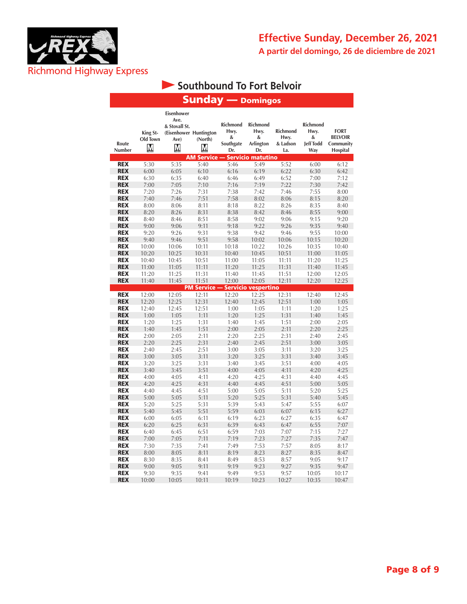

## **Effective Sunday, December 26, 2021 A partir del domingo, 26 de diciembre de 2021**

# **Southbound To Fort Belvoir**

## Sunday — Domingos

|                          |                           | Eisenhower                                                   |                                         |                                           |                                           |                                     |                                                  |                                                        |
|--------------------------|---------------------------|--------------------------------------------------------------|-----------------------------------------|-------------------------------------------|-------------------------------------------|-------------------------------------|--------------------------------------------------|--------------------------------------------------------|
| Route<br>Number          | King St-<br>Old Town<br>М | Ave.<br>& Stovall St.<br>(Eisenhower Huntington<br>Ave)<br>Μ | (North)<br>Μ                            | Richmond<br>Hwy.<br>&<br>Southgate<br>Dr. | Richmond<br>Hwy.<br>&<br>Arlington<br>Dr. | Richmond<br>Hwy.<br>& Ladson<br>La. | Richmond<br>Hwy.<br>&<br><b>Jeff Todd</b><br>Way | <b>FORT</b><br><b>BELVOIR</b><br>Community<br>Hospital |
|                          |                           |                                                              | <b>AM Service — Servicio matutino</b>   |                                           |                                           |                                     |                                                  |                                                        |
| <b>REX</b>               | 5:30                      | 5:35                                                         | 5:40                                    | 5:46                                      | 5:49                                      | 5:52                                | 6:00                                             | 6:12                                                   |
| <b>REX</b>               | 6:00                      | 6:05                                                         | 6:10                                    | 6:16                                      | 6:19                                      | 6:22                                | 6:30                                             | 6:42                                                   |
| <b>REX</b>               | 6:30                      | 6:35                                                         | 6:40                                    | 6:46                                      | 6:49                                      | 6:52                                | 7:00                                             | 7:12                                                   |
| <b>REX</b>               | 7:00                      | 7:05                                                         | 7:10                                    | 7:16                                      | 7:19                                      | 7:22                                | 7:30                                             | 7:42                                                   |
| <b>REX</b>               | 7:20                      | 7:26                                                         | 7:31                                    | 7:38                                      | 7:42                                      | 7:46                                | 7:55                                             | 8:00                                                   |
| <b>REX</b>               | 7:40                      | 7:46                                                         | 7:51                                    | 7:58                                      | 8:02                                      | 8:06                                | 8:15                                             | 8:20                                                   |
| <b>REX</b>               | 8:00                      | 8:06                                                         | 8:11                                    | 8:18                                      | 8:22                                      | 8:26                                | 8:35                                             | 8:40                                                   |
| <b>REX</b>               | 8:20                      | 8:26                                                         | 8:31                                    | 8:38                                      | 8:42                                      | 8:46                                | 8:55                                             | 9:00                                                   |
| <b>REX</b>               | 8:40                      | 8:46                                                         | 8:51                                    | 8:58                                      | 9:02                                      | 9:06                                | 9:15                                             | 9:20                                                   |
| <b>REX</b>               | 9:00                      | 9:06                                                         | 9:11                                    | 9:18                                      | 9:22                                      | 9:26                                | 9:35                                             | 9:40                                                   |
| <b>REX</b>               | 9:20                      | 9:26                                                         | 9:31                                    | 9:38                                      | 9:42                                      | 9:46                                | 9:55                                             | 10:00                                                  |
| <b>REX</b>               | 9:40                      | 9:46                                                         | 9:51                                    | 9:58                                      | 10:02                                     | 10:06                               | 10:15                                            | 10:20                                                  |
| <b>REX</b>               | 10:00                     | 10:06                                                        | 10:11                                   | 10:18                                     | 10:22                                     | 10:26                               | 10:35                                            | 10:40                                                  |
| <b>REX</b>               | 10:20                     | 10:25                                                        | 10:31                                   | 10:40                                     | 10:45                                     | 10:51                               | 11:00                                            | 11:05                                                  |
| <b>REX</b>               | 10:40                     | 10:45                                                        | 10:51                                   | 11:00                                     | 11:05                                     | 11:11                               | 11:20                                            | 11:25                                                  |
| <b>REX</b>               | 11:00                     | 11:05                                                        | 11:11                                   | 11:20                                     | 11:25                                     | 11:31                               | 11:40                                            | 11:45                                                  |
| <b>REX</b>               | 11:20                     | 11:25                                                        | 11:31                                   | 11:40                                     | 11:45                                     | 11:51                               | 12:00                                            | 12:05                                                  |
| <b>REX</b>               | 11:40                     | 11:45                                                        | 11:51                                   | 12:00                                     | 12:05                                     | 12:11                               | 12:20                                            | 12:25                                                  |
|                          |                           |                                                              | <b>PM Service - Servicio vespertino</b> |                                           |                                           |                                     |                                                  |                                                        |
| <b>REX</b>               | 12:00                     | 12:05                                                        | 12:11                                   | 12:20                                     | 12:25                                     | 12:31                               | 12:40                                            | 12:45                                                  |
| <b>REX</b>               | 12:20                     | 12:25                                                        | 12:31                                   | 12:40                                     | 12:45                                     | 12:51                               | 1:00                                             | 1:05                                                   |
| <b>REX</b>               | 12:40                     | 12:45                                                        | 12:51                                   | 1:00                                      | 1:05                                      | 1:11                                | 1:20                                             | 1:25                                                   |
| <b>REX</b>               | 1:00                      | 1:05                                                         | 1:11                                    | 1:20                                      | 1:25                                      | 1:31                                | 1:40                                             | 1:45                                                   |
| <b>REX</b>               | 1:20                      | 1:25                                                         | 1:31                                    | 1:40                                      | 1:45                                      | 1:51                                | 2:00                                             | 2:05                                                   |
| <b>REX</b>               | 1:40                      | 1:45                                                         | 1:51                                    | 2:00                                      | 2:05                                      | 2:11                                | 2:20                                             | 2:25                                                   |
| <b>REX</b>               | 2:00                      | 2:05                                                         | 2:11                                    | 2:20                                      | 2:25                                      | 2:31                                | 2:40                                             | 2:45                                                   |
| <b>REX</b>               | 2:20                      | 2:25                                                         | 2:31                                    | 2:40                                      | 2:45                                      | 2:51                                | 3:00                                             | 3:05                                                   |
| <b>REX</b>               | 2:40                      | 2:45                                                         | 2:51                                    | 3:00                                      | 3:05                                      | 3:11                                | 3:20                                             | 3:25                                                   |
| <b>REX</b>               | 3:00                      | 3:05                                                         | 3:11                                    | 3:20                                      | 3:25                                      | 3:31                                | 3:40                                             | 3:45                                                   |
| <b>REX</b>               | 3:20                      | 3:25                                                         | 3:31                                    | 3:40                                      | 3:45                                      | 3:51                                | 4:00                                             | 4:05                                                   |
| <b>REX</b>               | 3:40                      | 3:45                                                         | 3:51                                    | 4:00                                      | 4:05                                      | 4:11                                | 4:20                                             | 4:25                                                   |
| <b>REX</b>               | 4:00                      | 4:05                                                         | 4:11                                    | 4:20                                      | 4:25                                      | 4:31                                | 4:40                                             | 4:45                                                   |
| <b>REX</b>               | 4:20                      | 4:25                                                         | 4:31                                    | 4:40                                      | 4:45                                      | 4:51                                | 5:00                                             | 5:05                                                   |
| <b>REX</b>               | 4:40                      | 4:45                                                         | 4:51                                    | 5:00                                      | 5:05                                      | 5:11                                | 5:20                                             | 5:25                                                   |
| <b>REX</b>               | 5:00                      | 5:05                                                         | 5:11                                    | 5:20                                      | 5:25                                      | 5:31                                | 5:40                                             | 5:45                                                   |
| <b>REX</b>               | 5:20                      | 5:25                                                         | 5:31                                    | 5:39                                      | 5:43                                      | 5:47                                | 5:55                                             | 6:07                                                   |
| <b>REX</b>               | 5:40                      | 5:45                                                         | 5:51                                    | 5:59                                      | 6:03                                      | 6:07                                | 6:15                                             | 6:27                                                   |
| <b>REX</b><br><b>REX</b> | 6:00                      | 6:05                                                         | 6:11                                    | 6:19                                      | 6:23                                      | 6:27                                | 6:35                                             | 6:47                                                   |
|                          | 6:20                      | 6:25                                                         | 6:31                                    | 6:39                                      | 6:43                                      | 6:47                                | 6:55                                             | 7:07                                                   |
| <b>REX</b><br><b>REX</b> | 6:40                      | 6:45                                                         | 6:51                                    | 6:59<br>7:19                              | 7:03                                      | 7:07<br>7:27                        | 7:15                                             | 7:27                                                   |
| <b>REX</b>               | 7:00<br>7:30              | 7:05<br>7:35                                                 | 7:11<br>7:41                            | 7:49                                      | 7:23<br>7:53                              | 7:57                                | 7:35<br>8:05                                     | 7:47<br>8:17                                           |
| <b>REX</b>               | 8:00                      | 8:05                                                         | 8:11                                    | 8:19                                      | 8:23                                      | 8:27                                | 8:35                                             |                                                        |
| <b>REX</b>               | 8:30                      | 8:35                                                         | 8:41                                    | 8:49                                      | 8:53                                      | 8:57                                | 9:05                                             | 8:47<br>9:17                                           |
| <b>REX</b>               | 9:00                      | 9:05                                                         | 9:11                                    | 9:19                                      | 9:23                                      | 9:27                                | 9:35                                             | 9:47                                                   |
| <b>REX</b>               | 9:30                      | 9:35                                                         | 9:41                                    | 9:49                                      | 9:53                                      | 9:57                                | 10:05                                            | 10:17                                                  |
| <b>REX</b>               | 10:00                     | 10:05                                                        | 10:11                                   | 10:19                                     | 10:23                                     | 10:27                               | 10:35                                            | 10:47                                                  |
|                          |                           |                                                              |                                         |                                           |                                           |                                     |                                                  |                                                        |